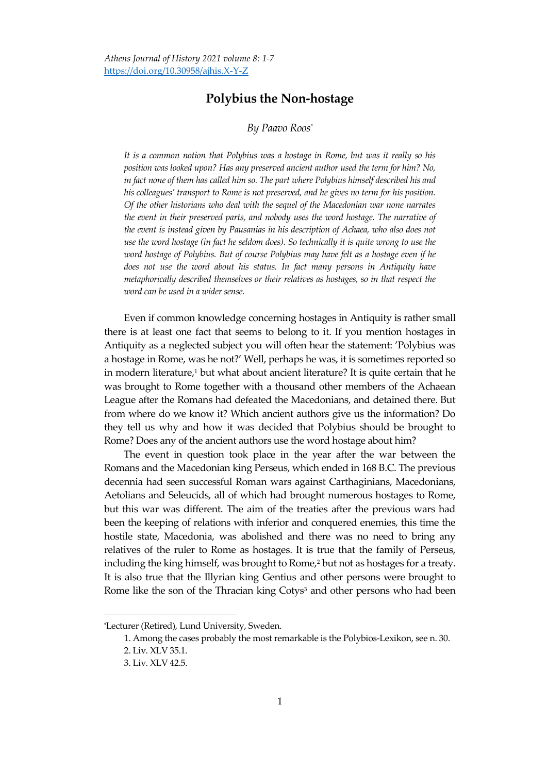## **Polybius the Non-hostage**

## *By Paavo Roos\**

*It is a common notion that Polybius was a hostage in Rome, but was it really so his position was looked upon? Has any preserved ancient author used the term for him? No, in fact none of them has called him so. The part where Polybius himself described his and his colleagues' transport to Rome is not preserved, and he gives no term for his position. Of the other historians who deal with the sequel of the Macedonian war none narrates the event in their preserved parts, and nobody uses the word hostage. The narrative of the event is instead given by Pausanias in his description of Achaea, who also does not use the word hostage (in fact he seldom does). So technically it is quite wrong to use the word hostage of Polybius. But of course Polybius may have felt as a hostage even if he does not use the word about his status. In fact many persons in Antiquity have metaphorically described themselves or their relatives as hostages, so in that respect the word can be used in a wider sense.* 

Even if common knowledge concerning hostages in Antiquity is rather small there is at least one fact that seems to belong to it. If you mention hostages in Antiquity as a neglected subject you will often hear the statement: 'Polybius was a hostage in Rome, was he not?' Well, perhaps he was, it is sometimes reported so in modern literature,<sup>1</sup> but what about ancient literature? It is quite certain that he was brought to Rome together with a thousand other members of the Achaean League after the Romans had defeated the Macedonians, and detained there. But from where do we know it? Which ancient authors give us the information? Do they tell us why and how it was decided that Polybius should be brought to Rome? Does any of the ancient authors use the word hostage about him?

The event in question took place in the year after the war between the Romans and the Macedonian king Perseus, which ended in 168 B.C. The previous decennia had seen successful Roman wars against Carthaginians, Macedonians, Aetolians and Seleucids, all of which had brought numerous hostages to Rome, but this war was different. The aim of the treaties after the previous wars had been the keeping of relations with inferior and conquered enemies, this time the hostile state, Macedonia, was abolished and there was no need to bring any relatives of the ruler to Rome as hostages. It is true that the family of Perseus, including the king himself, was brought to Rome,<sup>2</sup> but not as hostages for a treaty. It is also true that the Illyrian king Gentius and other persons were brought to Rome like the son of the Thracian king Cotys<sup>3</sup> and other persons who had been

<sup>\*</sup>Lecturer (Retired), Lund University, Sweden.

<sup>1.</sup> Among the cases probably the most remarkable is the Polybios-Lexikon, see n. 30.

<sup>2.</sup> Liv. XLV 35.1.

<sup>3.</sup> Liv. XLV 42.5.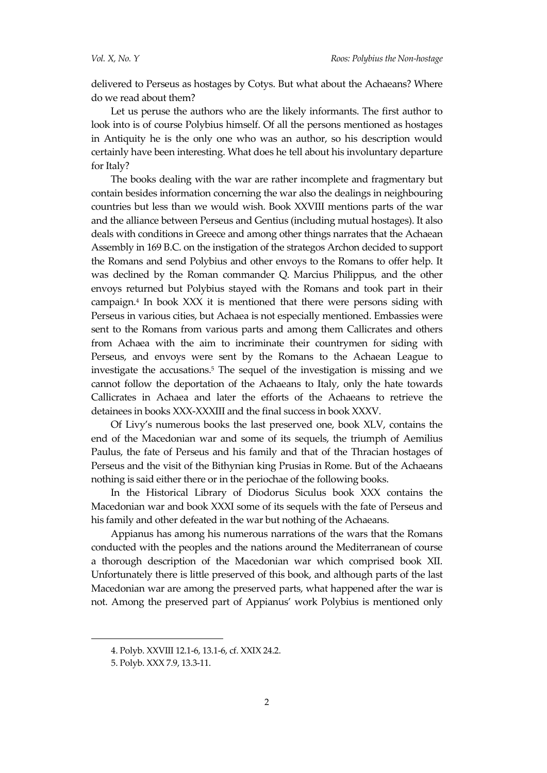delivered to Perseus as hostages by Cotys. But what about the Achaeans? Where do we read about them?

Let us peruse the authors who are the likely informants. The first author to look into is of course Polybius himself. Of all the persons mentioned as hostages in Antiquity he is the only one who was an author, so his description would certainly have been interesting. What does he tell about his involuntary departure for Italy?

The books dealing with the war are rather incomplete and fragmentary but contain besides information concerning the war also the dealings in neighbouring countries but less than we would wish. Book XXVIII mentions parts of the war and the alliance between Perseus and Gentius (including mutual hostages). It also deals with conditions in Greece and among other things narrates that the Achaean Assembly in 169 B.C. on the instigation of the strategos Archon decided to support the Romans and send Polybius and other envoys to the Romans to offer help. It was declined by the Roman commander Q. Marcius Philippus, and the other envoys returned but Polybius stayed with the Romans and took part in their campaign.<sup>4</sup> In book XXX it is mentioned that there were persons siding with Perseus in various cities, but Achaea is not especially mentioned. Embassies were sent to the Romans from various parts and among them Callicrates and others from Achaea with the aim to incriminate their countrymen for siding with Perseus, and envoys were sent by the Romans to the Achaean League to investigate the accusations.<sup>5</sup> The sequel of the investigation is missing and we cannot follow the deportation of the Achaeans to Italy, only the hate towards Callicrates in Achaea and later the efforts of the Achaeans to retrieve the detainees in books XXX-XXXIII and the final success in book XXXV.

Of Livy's numerous books the last preserved one, book XLV, contains the end of the Macedonian war and some of its sequels, the triumph of Aemilius Paulus, the fate of Perseus and his family and that of the Thracian hostages of Perseus and the visit of the Bithynian king Prusias in Rome. But of the Achaeans nothing is said either there or in the periochae of the following books.

In the Historical Library of Diodorus Siculus book XXX contains the Macedonian war and book XXXI some of its sequels with the fate of Perseus and his family and other defeated in the war but nothing of the Achaeans.

Appianus has among his numerous narrations of the wars that the Romans conducted with the peoples and the nations around the Mediterranean of course a thorough description of the Macedonian war which comprised book XII. Unfortunately there is little preserved of this book, and although parts of the last Macedonian war are among the preserved parts, what happened after the war is not. Among the preserved part of Appianus' work Polybius is mentioned only

<sup>4.</sup> Polyb. XXVIII 12.1-6, 13.1-6, cf. XXIX 24.2.

<sup>5.</sup> Polyb. XXX 7.9, 13.3-11.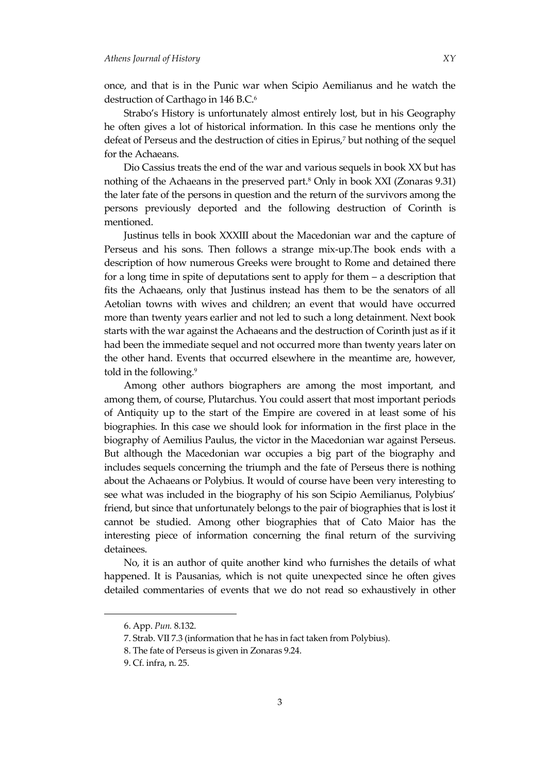once, and that is in the Punic war when Scipio Aemilianus and he watch the destruction of Carthago in 146 B.C.<sup>6</sup>

Strabo's History is unfortunately almost entirely lost, but in his Geography he often gives a lot of historical information. In this case he mentions only the defeat of Perseus and the destruction of cities in Epirus,<sup>7</sup> but nothing of the sequel for the Achaeans.

Dio Cassius treats the end of the war and various sequels in book XX but has nothing of the Achaeans in the preserved part.<sup>8</sup> Only in book XXI (Zonaras 9.31) the later fate of the persons in question and the return of the survivors among the persons previously deported and the following destruction of Corinth is mentioned.

Justinus tells in book XXXIII about the Macedonian war and the capture of Perseus and his sons. Then follows a strange mix-up.The book ends with a description of how numerous Greeks were brought to Rome and detained there for a long time in spite of deputations sent to apply for them – a description that fits the Achaeans, only that Justinus instead has them to be the senators of all Aetolian towns with wives and children; an event that would have occurred more than twenty years earlier and not led to such a long detainment. Next book starts with the war against the Achaeans and the destruction of Corinth just as if it had been the immediate sequel and not occurred more than twenty years later on the other hand. Events that occurred elsewhere in the meantime are, however, told in the following.<sup>9</sup>

Among other authors biographers are among the most important, and among them, of course, Plutarchus. You could assert that most important periods of Antiquity up to the start of the Empire are covered in at least some of his biographies. In this case we should look for information in the first place in the biography of Aemilius Paulus, the victor in the Macedonian war against Perseus. But although the Macedonian war occupies a big part of the biography and includes sequels concerning the triumph and the fate of Perseus there is nothing about the Achaeans or Polybius. It would of course have been very interesting to see what was included in the biography of his son Scipio Aemilianus, Polybius' friend, but since that unfortunately belongs to the pair of biographies that is lost it cannot be studied. Among other biographies that of Cato Maior has the interesting piece of information concerning the final return of the surviving detainees.

No, it is an author of quite another kind who furnishes the details of what happened. It is Pausanias, which is not quite unexpected since he often gives detailed commentaries of events that we do not read so exhaustively in other

<sup>6.</sup> App. *Pun.* 8.132.

<sup>7.</sup> Strab. VII 7.3 (information that he has in fact taken from Polybius).

<sup>8.</sup> The fate of Perseus is given in Zonaras 9.24.

<sup>9.</sup> Cf. infra, n. 25.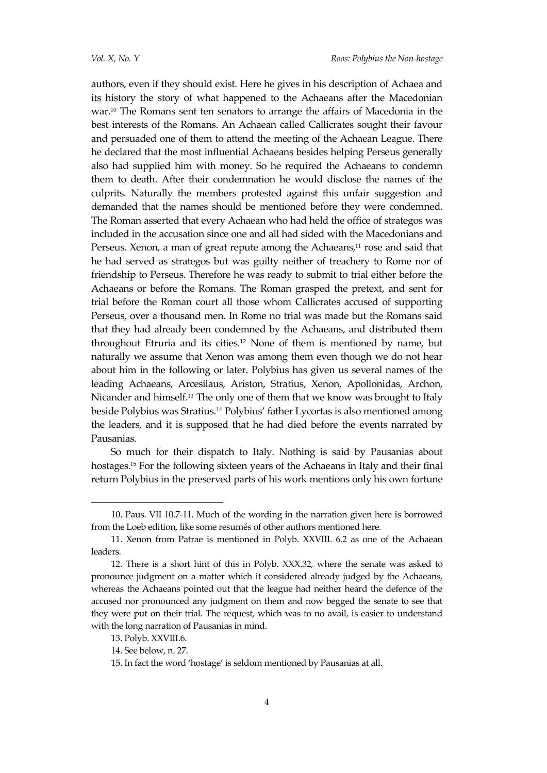authors, even if they should exist. Here he gives in his description of Achaea and its history the story of what happened to the Achaeans after the Macedonian war.<sup>10</sup> The Romans sent ten senators to arrange the affairs of Macedonia in the best interests of the Romans. An Achaean called Callicrates sought their favour and persuaded one of them to attend the meeting of the Achaean League. There he declared that the most influential Achaeans besides helping Perseus generally also had supplied him with money. So he required the Achaeans to condemn them to death. After their condemnation he would disclose the names of the culprits. Naturally the members protested against this unfair suggestion and demanded that the names should be mentioned before they were condemned. The Roman asserted that every Achaean who had held the office of strategos was included in the accusation since one and all had sided with the Macedonians and Perseus. Xenon, a man of great repute among the Achaeans,<sup>11</sup> rose and said that he had served as strategos but was guilty neither of treachery to Rome nor of friendship to Perseus. Therefore he was ready to submit to trial either before the Achaeans or before the Romans. The Roman grasped the pretext, and sent for trial before the Roman court all those whom Callicrates accused of supporting Perseus, over a thousand men. In Rome no trial was made but the Romans said that they had already been condemned by the Achaeans, and distributed them throughout Etruria and its cities.<sup>12</sup> None of them is mentioned by name, but naturally we assume that Xenon was among them even though we do not hear about him in the following or later. Polybius has given us several names of the leading Achaeans, Arcesilaus, Ariston, Stratius, Xenon, Apollonidas, Archon, Nicander and himself.<sup>13</sup> The only one of them that we know was brought to Italy beside Polybius was Stratius.<sup>14</sup> Polybius' father Lycortas is also mentioned among the leaders, and it is supposed that he had died before the events narrated by Pausanias.

So much for their dispatch to Italy. Nothing is said by Pausanias about hostages.<sup>15</sup> For the following sixteen years of the Achaeans in Italy and their final return Polybius in the preserved parts of his work mentions only his own fortune

<sup>10.</sup> Paus. VII 10.7-11. Much of the wording in the narration given here is borrowed from the Loeb edition, like some resumés of other authors mentioned here.

<sup>11.</sup> Xenon from Patrae is mentioned in Polyb. XXVIII. 6.2 as one of the Achaean leaders.

<sup>12.</sup> There is a short hint of this in Polyb. XXX.32, where the senate was asked to pronounce judgment on a matter which it considered already judged by the Achaeans, whereas the Achaeans pointed out that the league had neither heard the defence of the accused nor pronounced any judgment on them and now begged the senate to see that they were put on their trial. The request, which was to no avail, is easier to understand with the long narration of Pausanias in mind.

<sup>13.</sup> Polyb. XXVIII.6.

<sup>14.</sup> See below, n. 27.

<sup>15.</sup> In fact the word 'hostage' is seldom mentioned by Pausanias at all.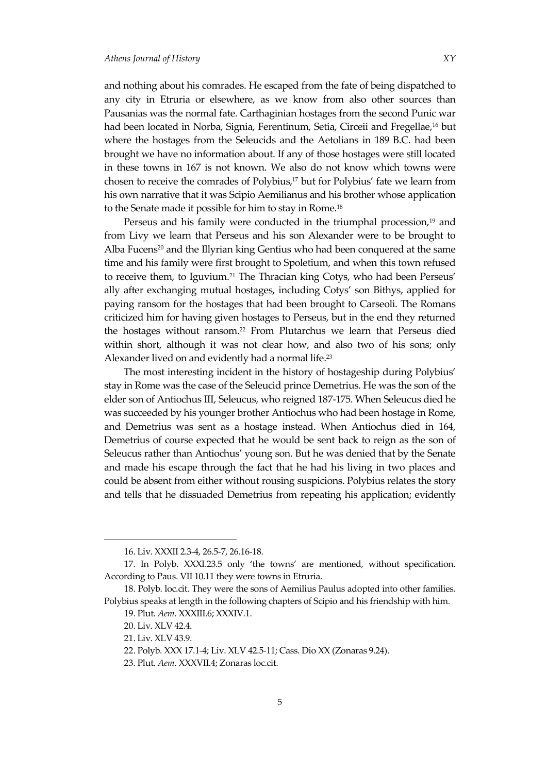and nothing about his comrades. He escaped from the fate of being dispatched to any city in Etruria or elsewhere, as we know from also other sources than Pausanias was the normal fate. Carthaginian hostages from the second Punic war had been located in Norba, Signia, Ferentinum, Setia, Circeii and Fregellae,<sup>16</sup> but where the hostages from the Seleucids and the Aetolians in 189 B.C. had been brought we have no information about. If any of those hostages were still located in these towns in 167 is not known. We also do not know which towns were chosen to receive the comrades of Polybius,<sup>17</sup> but for Polybius' fate we learn from his own narrative that it was Scipio Aemilianus and his brother whose application to the Senate made it possible for him to stay in Rome.<sup>18</sup>

Perseus and his family were conducted in the triumphal procession,<sup>19</sup> and from Livy we learn that Perseus and his son Alexander were to be brought to Alba Fucens<sup>20</sup> and the Illyrian king Gentius who had been conquered at the same time and his family were first brought to Spoletium, and when this town refused to receive them, to Iguvium.<sup>21</sup> The Thracian king Cotys, who had been Perseus' ally after exchanging mutual hostages, including Cotys' son Bithys, applied for paying ransom for the hostages that had been brought to Carseoli. The Romans criticized him for having given hostages to Perseus, but in the end they returned the hostages without ransom.<sup>22</sup> From Plutarchus we learn that Perseus died within short, although it was not clear how, and also two of his sons; only Alexander lived on and evidently had a normal life.<sup>23</sup>

The most interesting incident in the history of hostageship during Polybius' stay in Rome was the case of the Seleucid prince Demetrius. He was the son of the elder son of Antiochus III, Seleucus, who reigned 187-175. When Seleucus died he was succeeded by his younger brother Antiochus who had been hostage in Rome, and Demetrius was sent as a hostage instead. When Antiochus died in 164, Demetrius of course expected that he would be sent back to reign as the son of Seleucus rather than Antiochus' young son. But he was denied that by the Senate and made his escape through the fact that he had his living in two places and could be absent from either without rousing suspicions. Polybius relates the story and tells that he dissuaded Demetrius from repeating his application; evidently

<sup>16.</sup> Liv. XXXII 2.3-4, 26.5-7, 26.16-18.

<sup>17.</sup> In Polyb. XXXI.23.5 only 'the towns' are mentioned, without specification. According to Paus. VII 10.11 they were towns in Etruria.

<sup>18.</sup> Polyb. loc.cit. They were the sons of Aemilius Paulus adopted into other families. Polybius speaks at length in the following chapters of Scipio and his friendship with him.

<sup>19.</sup> Plut. *Aem*. XXXIII.6; XXXIV.1.

<sup>20.</sup> Liv. XLV 42.4.

<sup>21.</sup> Liv. XLV 43.9.

<sup>22.</sup> Polyb. XXX 17.1-4; Liv. XLV 42.5-11; Cass. Dio XX (Zonaras 9.24).

<sup>23.</sup> Plut. *Aem*. XXXVII.4; Zonaras loc.cit.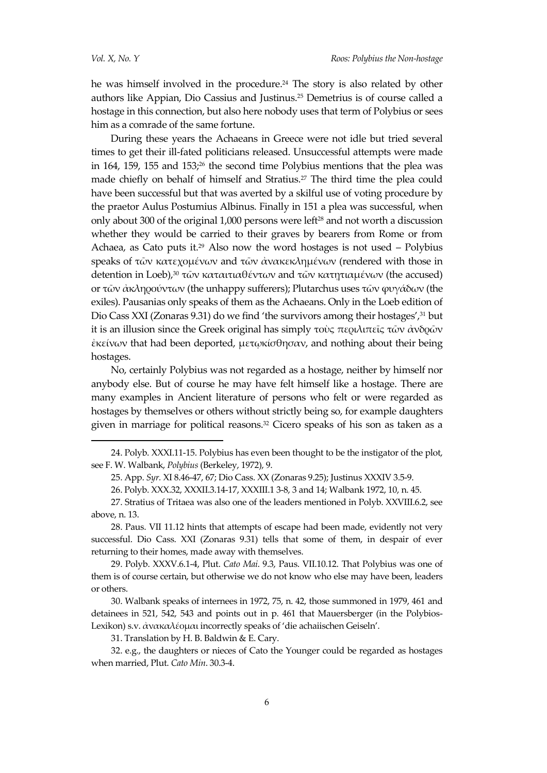$\overline{a}$ 

he was himself involved in the procedure.<sup>24</sup> The story is also related by other authors like Appian, Dio Cassius and Justinus.<sup>25</sup> Demetrius is of course called a hostage in this connection, but also here nobody uses that term of Polybius or sees him as a comrade of the same fortune.

During these years the Achaeans in Greece were not idle but tried several times to get their ill-fated politicians released. Unsuccessful attempts were made in 164, 159, 155 and 153; $26$  the second time Polybius mentions that the plea was made chiefly on behalf of himself and Stratius.<sup>27</sup> The third time the plea could have been successful but that was averted by a skilful use of voting procedure by the praetor Aulus Postumius Albinus. Finally in 151 a plea was successful, when only about 300 of the original 1,000 persons were left<sup>28</sup> and not worth a discussion whether they would be carried to their graves by bearers from Rome or from Achaea, as Cato puts it.<sup>29</sup> Also now the word hostages is not used – Polybius speaks of τῶν κατεχομένων and τῶν ἀνακεκλημένων (rendered with those in detention in Loeb),<sup>30</sup> τῶν καταιτιαθέντων and τῶν κατητιαμένων (the accused) or τῶν ἀκληρούντων (the unhappy sufferers); Plutarchus uses τῶν φυγάδων (the exiles). Pausanias only speaks of them as the Achaeans. Only in the Loeb edition of Dio Cass XXI (Zonaras 9.31) do we find 'the survivors among their hostages',<sup>31</sup> but it is an illusion since the Greek original has simply τοὺς περιλιπεῖς τῶν ἀνδρῶν ἐκείνων that had been deported, μετῳκίσθησαν, and nothing about their being hostages.

No, certainly Polybius was not regarded as a hostage, neither by himself nor anybody else. But of course he may have felt himself like a hostage. There are many examples in Ancient literature of persons who felt or were regarded as hostages by themselves or others without strictly being so, for example daughters given in marriage for political reasons.<sup>32</sup> Cicero speaks of his son as taken as a

28. Paus. VII 11.12 hints that attempts of escape had been made, evidently not very successful. Dio Cass. XXI (Zonaras 9.31) tells that some of them, in despair of ever returning to their homes, made away with themselves.

29. Polyb. XXXV.6.1-4, Plut. *Cato Mai*. 9.3, Paus. VII.10.12. That Polybius was one of them is of course certain, but otherwise we do not know who else may have been, leaders or others.

30. Walbank speaks of internees in 1972, 75, n. 42, those summoned in 1979, 461 and detainees in 521, 542, 543 and points out in p. 461 that Mauersberger (in the Polybios-Lexikon) s.v. ἀνακαλέομαι incorrectly speaks of 'die achaiischen Geiseln'.

31. Translation by H. B. Baldwin & E. Cary.

32. e.g., the daughters or nieces of Cato the Younger could be regarded as hostages when married, Plut. *Cato Min*. 30.3-4.

<sup>24.</sup> Polyb. XXXI.11-15. Polybius has even been thought to be the instigator of the plot, see F. W. Walbank, *Polybius* (Berkeley, 1972), 9.

<sup>25.</sup> App. *Syr.* XI 8.46-47, 67; Dio Cass. XX (Zonaras 9.25); Justinus XXXIV 3.5-9.

<sup>26.</sup> Polyb. XXX.32, XXXII.3.14-17, XXXIII.1 3-8, 3 and 14; Walbank 1972, 10, n. 45.

<sup>27.</sup> Stratius of Tritaea was also one of the leaders mentioned in Polyb. XXVIII.6.2, see above, n. 13.